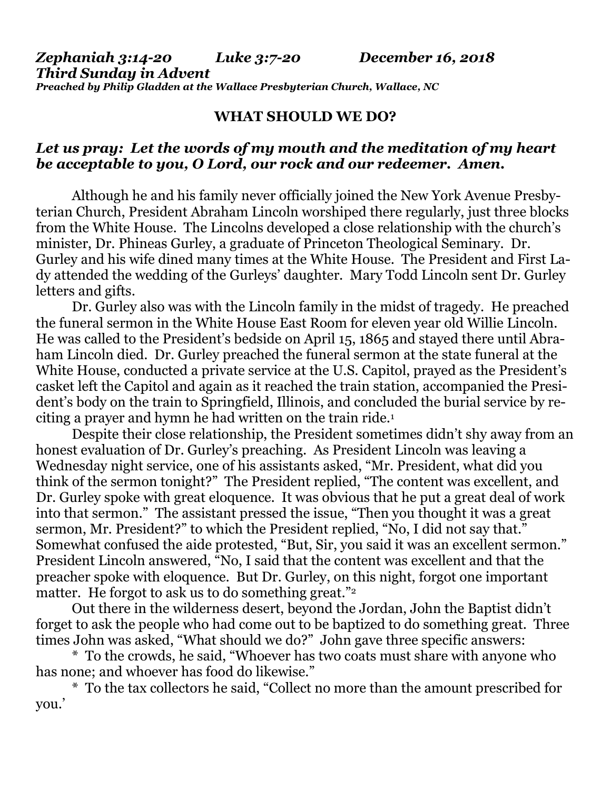*Zephaniah 3:14-20 Luke 3:7-20 December 16, 2018 Third Sunday in Advent Preached by Philip Gladden at the Wallace Presbyterian Church, Wallace, NC*

### **WHAT SHOULD WE DO?**

## *Let us pray: Let the words of my mouth and the meditation of my heart be acceptable to you, O Lord, our rock and our redeemer. Amen.*

Although he and his family never officially joined the New York Avenue Presbyterian Church, President Abraham Lincoln worshiped there regularly, just three blocks from the White House. The Lincolns developed a close relationship with the church's minister, Dr. Phineas Gurley, a graduate of Princeton Theological Seminary. Dr. Gurley and his wife dined many times at the White House. The President and First Lady attended the wedding of the Gurleys' daughter. Mary Todd Lincoln sent Dr. Gurley letters and gifts.

Dr. Gurley also was with the Lincoln family in the midst of tragedy. He preached the funeral sermon in the White House East Room for eleven year old Willie Lincoln. He was called to the President's bedside on April 15, 1865 and stayed there until Abraham Lincoln died. Dr. Gurley preached the funeral sermon at the state funeral at the White House, conducted a private service at the U.S. Capitol, prayed as the President's casket left the Capitol and again as it reached the train station, accompanied the President's body on the train to Springfield, Illinois, and concluded the burial service by reciting a prayer and hymn he had written on the train ride.<sup>1</sup>

Despite their close relationship, the President sometimes didn't shy away from an honest evaluation of Dr. Gurley's preaching. As President Lincoln was leaving a Wednesday night service, one of his assistants asked, "Mr. President, what did you think of the sermon tonight?" The President replied, "The content was excellent, and Dr. Gurley spoke with great eloquence. It was obvious that he put a great deal of work into that sermon." The assistant pressed the issue, "Then you thought it was a great sermon, Mr. President?" to which the President replied, "No, I did not say that." Somewhat confused the aide protested, "But, Sir, you said it was an excellent sermon." President Lincoln answered, "No, I said that the content was excellent and that the preacher spoke with eloquence. But Dr. Gurley, on this night, forgot one important matter. He forgot to ask us to do something great."<sup>2</sup>

Out there in the wilderness desert, beyond the Jordan, John the Baptist didn't forget to ask the people who had come out to be baptized to do something great. Three times John was asked, "What should we do?" John gave three specific answers:

\* To the crowds, he said, "Whoever has two coats must share with anyone who has none; and whoever has food do likewise."

\* To the tax collectors he said, "Collect no more than the amount prescribed for you.'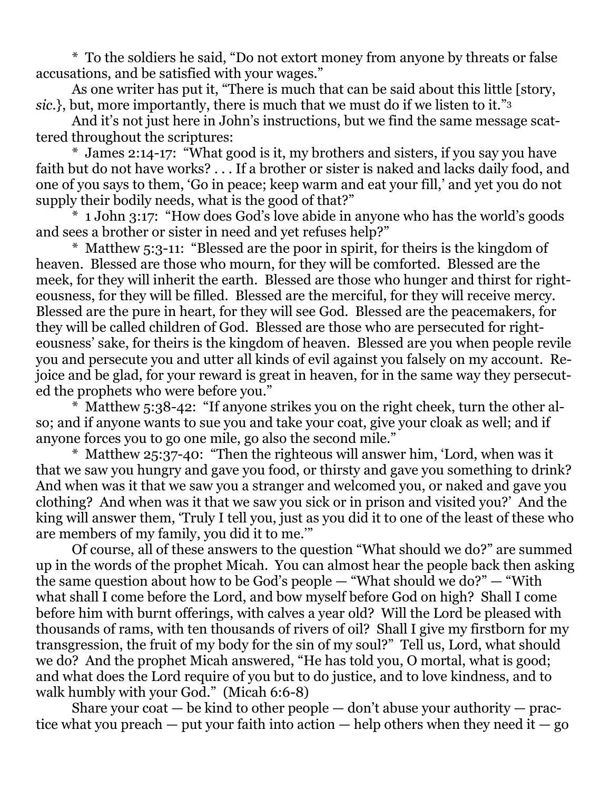\* To the soldiers he said, "Do not extort money from anyone by threats or false accusations, and be satisfied with your wages."

As one writer has put it, "There is much that can be said about this little [story, *sic.*}, but, more importantly, there is much that we must do if we listen to it."<sup>3</sup>

And it's not just here in John's instructions, but we find the same message scattered throughout the scriptures:

\* James 2:14-17: "What good is it, my brothers and sisters, if you say you have faith but do not have works? . . . If a brother or sister is naked and lacks daily food, and one of you says to them, 'Go in peace; keep warm and eat your fill,' and yet you do not supply their bodily needs, what is the good of that?"

\* 1 John 3:17: "How does God's love abide in anyone who has the world's goods and sees a brother or sister in need and yet refuses help?"

\* Matthew 5:3-11: "Blessed are the poor in spirit, for theirs is the kingdom of heaven. Blessed are those who mourn, for they will be comforted. Blessed are the meek, for they will inherit the earth. Blessed are those who hunger and thirst for righteousness, for they will be filled. Blessed are the merciful, for they will receive mercy. Blessed are the pure in heart, for they will see God. Blessed are the peacemakers, for they will be called children of God. Blessed are those who are persecuted for righteousness' sake, for theirs is the kingdom of heaven. Blessed are you when people revile you and persecute you and utter all kinds of evil against you falsely on my account. Rejoice and be glad, for your reward is great in heaven, for in the same way they persecuted the prophets who were before you."

\* Matthew 5:38-42: "If anyone strikes you on the right cheek, turn the other also; and if anyone wants to sue you and take your coat, give your cloak as well; and if anyone forces you to go one mile, go also the second mile."

\* Matthew 25:37-40: "Then the righteous will answer him, 'Lord, when was it that we saw you hungry and gave you food, or thirsty and gave you something to drink? And when was it that we saw you a stranger and welcomed you, or naked and gave you clothing? And when was it that we saw you sick or in prison and visited you?' And the king will answer them, 'Truly I tell you, just as you did it to one of the least of these who are members of my family, you did it to me.'"

Of course, all of these answers to the question "What should we do?" are summed up in the words of the prophet Micah. You can almost hear the people back then asking the same question about how to be God's people — "What should we do?" — "With what shall I come before the Lord, and bow myself before God on high? Shall I come before him with burnt offerings, with calves a year old? Will the Lord be pleased with thousands of rams, with ten thousands of rivers of oil? Shall I give my firstborn for my transgression, the fruit of my body for the sin of my soul?" Tell us, Lord, what should we do? And the prophet Micah answered, "He has told you, O mortal, what is good; and what does the Lord require of you but to do justice, and to love kindness, and to walk humbly with your God." (Micah 6:6-8)

Share your coat  $-$  be kind to other people  $-$  don't abuse your authority  $-$  practice what you preach — put your faith into action — help others when they need it — go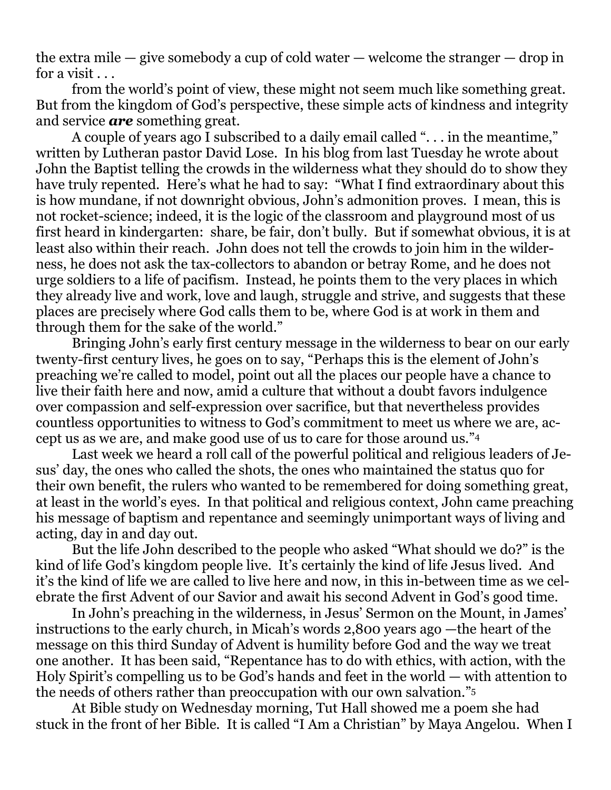the extra mile — give somebody a cup of cold water — welcome the stranger — drop in for a visit . . .

from the world's point of view, these might not seem much like something great. But from the kingdom of God's perspective, these simple acts of kindness and integrity and service *are* something great.

A couple of years ago I subscribed to a daily email called ". . . in the meantime," written by Lutheran pastor David Lose. In his blog from last Tuesday he wrote about John the Baptist telling the crowds in the wilderness what they should do to show they have truly repented. Here's what he had to say: "What I find extraordinary about this is how mundane, if not downright obvious, John's admonition proves. I mean, this is not rocket-science; indeed, it is the logic of the classroom and playground most of us first heard in kindergarten: share, be fair, don't bully. But if somewhat obvious, it is at least also within their reach. John does not tell the crowds to join him in the wilderness, he does not ask the tax-collectors to abandon or betray Rome, and he does not urge soldiers to a life of pacifism. Instead, he points them to the very places in which they already live and work, love and laugh, struggle and strive, and suggests that these places are precisely where God calls them to be, where God is at work in them and through them for the sake of the world."

Bringing John's early first century message in the wilderness to bear on our early twenty-first century lives, he goes on to say, "Perhaps this is the element of John's preaching we're called to model, point out all the places our people have a chance to live their faith here and now, amid a culture that without a doubt favors indulgence over compassion and self-expression over sacrifice, but that nevertheless provides countless opportunities to witness to God's commitment to meet us where we are, accept us as we are, and make good use of us to care for those around us."<sup>4</sup>

Last week we heard a roll call of the powerful political and religious leaders of Jesus' day, the ones who called the shots, the ones who maintained the status quo for their own benefit, the rulers who wanted to be remembered for doing something great, at least in the world's eyes. In that political and religious context, John came preaching his message of baptism and repentance and seemingly unimportant ways of living and acting, day in and day out.

But the life John described to the people who asked "What should we do?" is the kind of life God's kingdom people live. It's certainly the kind of life Jesus lived. And it's the kind of life we are called to live here and now, in this in-between time as we celebrate the first Advent of our Savior and await his second Advent in God's good time.

In John's preaching in the wilderness, in Jesus' Sermon on the Mount, in James' instructions to the early church, in Micah's words 2,800 years ago —the heart of the message on this third Sunday of Advent is humility before God and the way we treat one another. It has been said, "Repentance has to do with ethics, with action, with the Holy Spirit's compelling us to be God's hands and feet in the world — with attention to the needs of others rather than preoccupation with our own salvation."<sup>5</sup>

At Bible study on Wednesday morning, Tut Hall showed me a poem she had stuck in the front of her Bible. It is called "I Am a Christian" by Maya Angelou. When I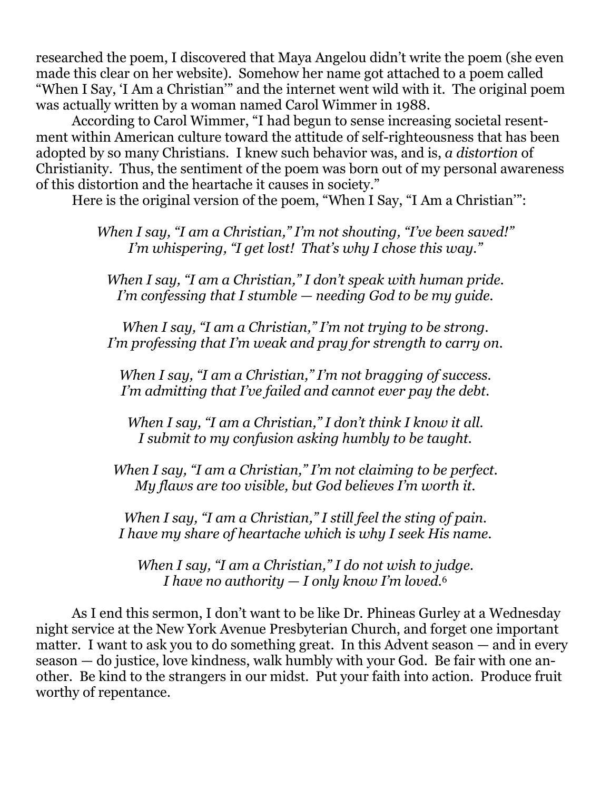researched the poem, I discovered that Maya Angelou didn't write the poem (she even made this clear on her website). Somehow her name got attached to a poem called "When I Say, 'I Am a Christian'" and the internet went wild with it. The original poem was actually written by a woman named Carol Wimmer in 1988.

According to Carol Wimmer, "I had begun to sense increasing societal resentment within American culture toward the attitude of self-righteousness that has been adopted by so many Christians. I knew such behavior was, and is, *a distortion* of Christianity. Thus, the sentiment of the poem was born out of my personal awareness of this distortion and the heartache it causes in society."

Here is the original version of the poem, "When I Say, "I Am a Christian'":

*When I say, "I am a Christian," I'm not shouting, "I've been saved!" I'm whispering, "I get lost! That's why I chose this way."*

*When I say, "I am a Christian," I don't speak with human pride. I'm confessing that I stumble — needing God to be my guide.*

*When I say, "I am a Christian," I'm not trying to be strong. I'm professing that I'm weak and pray for strength to carry on.*

*When I say, "I am a Christian," I'm not bragging of success. I'm admitting that I've failed and cannot ever pay the debt.*

*When I say, "I am a Christian," I don't think I know it all. I submit to my confusion asking humbly to be taught.*

*When I say, "I am a Christian," I'm not claiming to be perfect. My flaws are too visible, but God believes I'm worth it.*

*When I say, "I am a Christian," I still feel the sting of pain. I have my share of heartache which is why I seek His name.*

*When I say, "I am a Christian," I do not wish to judge. I have no authority — I only know I'm loved.*<sup>6</sup>

As I end this sermon, I don't want to be like Dr. Phineas Gurley at a Wednesday night service at the New York Avenue Presbyterian Church, and forget one important matter. I want to ask you to do something great. In this Advent season — and in every season — do justice, love kindness, walk humbly with your God. Be fair with one another. Be kind to the strangers in our midst. Put your faith into action. Produce fruit worthy of repentance.